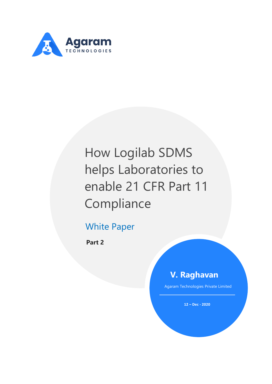

# How Logilab SDMS helps Laboratories to enable 21 CFR Part 11 Compliance

## White Paper

**Part 2**

### **V. Raghavan**

Agaram Technologies Private Limited

**12 – Dec - 2020**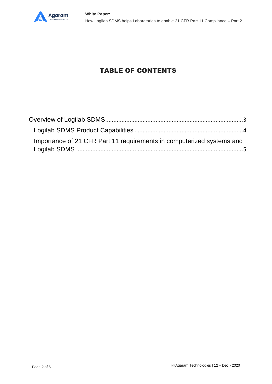

#### TABLE OF CONTENTS

| Importance of 21 CFR Part 11 requirements in computerized systems and |  |  |
|-----------------------------------------------------------------------|--|--|
|                                                                       |  |  |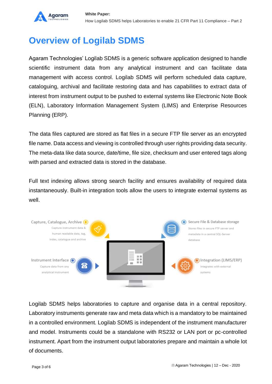

## <span id="page-2-0"></span>**Overview of Logilab SDMS**

Agaram Technologies' Logilab SDMS is a generic software application designed to handle scientific instrument data from any analytical instrument and can facilitate data management with access control. Logilab SDMS will perform scheduled data capture, cataloguing, archival and facilitate restoring data and has capabilities to extract data of interest from instrument output to be pushed to external systems like Electronic Note Book (ELN), Laboratory Information Management System (LIMS) and Enterprise Resources Planning (ERP).

The data files captured are stored as flat files in a secure FTP file server as an encrypted file name. Data access and viewing is controlled through user rights providing data security. The meta-data like data source, date/time, file size, checksum and user entered tags along with parsed and extracted data is stored in the database.

Full text indexing allows strong search facility and ensures availability of required data instantaneously. Built-in integration tools allow the users to integrate external systems as well.



Logilab SDMS helps laboratories to capture and organise data in a central repository. Laboratory instruments generate raw and meta data which is a mandatory to be maintained in a controlled environment. Logilab SDMS is independent of the instrument manufacturer and model. Instruments could be a standalone with RS232 or LAN port or pc-controlled instrument. Apart from the instrument output laboratories prepare and maintain a whole lot of documents.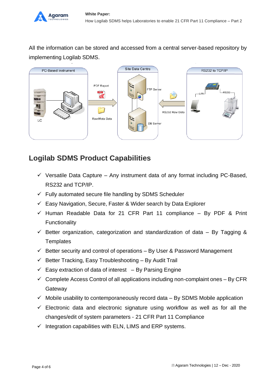

All the information can be stored and accessed from a central server-based repository by implementing Logilab SDMS.



#### <span id="page-3-0"></span>**Logilab SDMS Product Capabilities**

- $\checkmark$  Versatile Data Capture Any instrument data of any format including PC-Based, RS232 and TCP/IP.
- $\checkmark$  Fully automated secure file handling by SDMS Scheduler
- $\checkmark$  Easy Navigation, Secure, Faster & Wider search by Data Explorer
- $\checkmark$  Human Readable Data for 21 CFR Part 11 compliance By PDF & Print Functionality
- $\checkmark$  Better organization, categorization and standardization of data By Tagging & **Templates**
- $\checkmark$  Better security and control of operations By User & Password Management
- $\checkmark$  Better Tracking, Easy Troubleshooting By Audit Trail
- $\checkmark$  Easy extraction of data of interest By Parsing Engine
- $\checkmark$  Complete Access Control of all applications including non-complaint ones By CFR **Gateway**
- $\checkmark$  Mobile usability to contemporaneously record data By SDMS Mobile application
- $\checkmark$  Electronic data and electronic signature using workflow as well as for all the changes/edit of system parameters - 21 CFR Part 11 Compliance
- $\checkmark$  Integration capabilities with ELN, LIMS and ERP systems.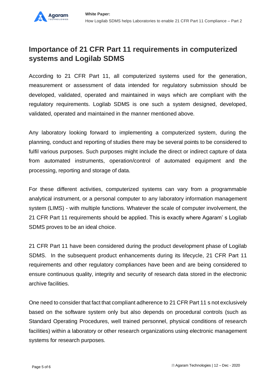#### <span id="page-4-0"></span>**Importance of 21 CFR Part 11 requirements in computerized systems and Logilab SDMS**

According to 21 CFR Part 11, all computerized systems used for the generation, measurement or assessment of data intended for regulatory submission should be developed, validated, operated and maintained in ways which are compliant with the regulatory requirements. Logilab SDMS is one such a system designed, developed, validated, operated and maintained in the manner mentioned above.

Any laboratory looking forward to implementing a computerized system, during the planning, conduct and reporting of studies there may be several points to be considered to fulfil various purposes. Such purposes might include the direct or indirect capture of data from automated instruments, operation/control of automated equipment and the processing, reporting and storage of data.

For these different activities, computerized systems can vary from a programmable analytical instrument, or a personal computer to any laboratory information management system (LIMS) - with multiple functions. Whatever the scale of computer involvement, the 21 CFR Part 11 requirements should be applied. This is exactly where Agaram' s Logilab SDMS proves to be an ideal choice.

21 CFR Part 11 have been considered during the product development phase of Logilab SDMS. In the subsequent product enhancements during its lifecycle, 21 CFR Part 11 requirements and other regulatory compliances have been and are being considered to ensure continuous quality, integrity and security of research data stored in the electronic archive facilities.

One need to consider that fact that compliant adherence to 21 CFR Part 11 s not exclusively based on the software system only but also depends on procedural controls (such as Standard Operating Procedures, well trained personnel, physical conditions of research facilities) within a laboratory or other research organizations using electronic management systems for research purposes.